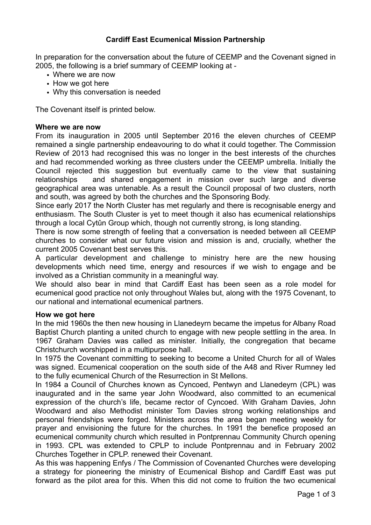# **Cardiff East Ecumenical Mission Partnership**

In preparation for the conversation about the future of CEEMP and the Covenant signed in 2005, the following is a brief summary of CEEMP looking at -

- Where we are now
- How we got here
- Why this conversation is needed

The Covenant itself is printed below.

### **Where we are now**

From its inauguration in 2005 until September 2016 the eleven churches of CEEMP remained a single partnership endeavouring to do what it could together. The Commission Review of 2013 had recognised this was no longer in the best interests of the churches and had recommended working as three clusters under the CEEMP umbrella. Initially the Council rejected this suggestion but eventually came to the view that sustaining relationships and shared engagement in mission over such large and diverse geographical area was untenable. As a result the Council proposal of two clusters, north and south, was agreed by both the churches and the Sponsoring Body.

Since early 2017 the North Cluster has met regularly and there is recognisable energy and enthusiasm. The South Cluster is yet to meet though it also has ecumenical relationships through a local Cytûn Group which, though not currently strong, is long standing.

There is now some strength of feeling that a conversation is needed between all CEEMP churches to consider what our future vision and mission is and, crucially, whether the current 2005 Covenant best serves this.

A particular development and challenge to ministry here are the new housing developments which need time, energy and resources if we wish to engage and be involved as a Christian community in a meaningful way.

We should also bear in mind that Cardiff East has been seen as a role model for ecumenical good practice not only throughout Wales but, along with the 1975 Covenant, to our national and international ecumenical partners.

#### **How we got here**

In the mid 1960s the then new housing in Llanedeyrn became the impetus for Albany Road Baptist Church planting a united church to engage with new people settling in the area. In 1967 Graham Davies was called as minister. Initially, the congregation that became Christchurch worshipped in a multipurpose hall.

In 1975 the Covenant committing to seeking to become a United Church for all of Wales was signed. Ecumenical cooperation on the south side of the A48 and River Rumney led to the fully ecumenical Church of the Resurrection in St Mellons.

In 1984 a Council of Churches known as Cyncoed, Pentwyn and Llanedeyrn (CPL) was inaugurated and in the same year John Woodward, also committed to an ecumenical expression of the church's life, became rector of Cyncoed. With Graham Davies, John Woodward and also Methodist minister Tom Davies strong working relationships and personal friendships were forged. Ministers across the area began meeting weekly for prayer and envisioning the future for the churches. In 1991 the benefice proposed an ecumenical community church which resulted in Pontprennau Community Church opening in 1993. CPL was extended to CPLP to include Pontprennau and in February 2002 Churches Together in CPLP. renewed their Covenant.

As this was happening Enfys / The Commission of Covenanted Churches were developing a strategy for pioneering the ministry of Ecumenical Bishop and Cardiff East was put forward as the pilot area for this. When this did not come to fruition the two ecumenical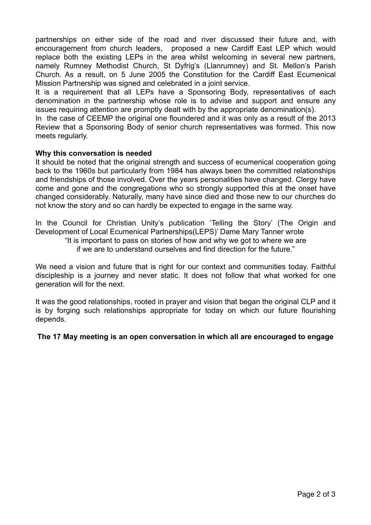partnerships on either side of the road and river discussed their future and, with encouragement from church leaders, proposed a new Cardiff East LEP which would replace both the existing LEPs in the area whilst welcoming in several new partners, namely Rumney Methodist Church, St Dyfrig's (Llanrumney) and St. Mellon's Parish Church. As a result, on 5 June 2005 the Constitution for the Cardiff East Ecumenical Mission Partnership was signed and celebrated in a joint service.

It is a requirement that all LEPs have a Sponsoring Body, representatives of each denomination in the partnership whose role is to advise and support and ensure any issues requiring attention are promptly dealt with by the appropriate denomination(s).

In the case of CEEMP the original one floundered and it was only as a result of the 2013 Review that a Sponsoring Body of senior church representatives was formed. This now meets regularly.

## **Why this conversation is needed**

It should be noted that the original strength and success of ecumenical cooperation going back to the 1960s but particularly from 1984 has always been the committed relationships and friendships of those involved. Over the years personalities have changed. Clergy have come and gone and the congregations who so strongly supported this at the onset have changed considerably. Naturally, many have since died and those new to our churches do not know the story and so can hardly be expected to engage in the same way.

In the Council for Christian Unity's publication 'Telling the Story' (The Origin and Development of Local Ecumenical Partnerships(LEPS)' Dame Mary Tanner wrote "It is important to pass on stories of how and why we got to where we are if we are to understand ourselves and find direction for the future."

We need a vision and future that is right for our context and communities today. Faithful discipleship is a journey and never static. It does not follow that what worked for one generation will for the next.

It was the good relationships, rooted in prayer and vision that began the original CLP and it is by forging such relationships appropriate for today on which our future flourishing depends.

## **The 17 May meeting is an open conversation in which all are encouraged to engage**